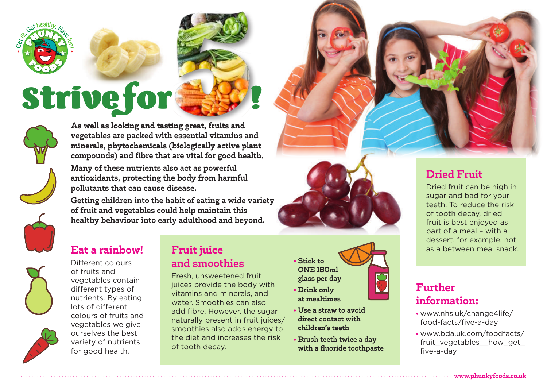

# **Strive for**



**As well as looking and tasting great, fruits and vegetables are packed with essential vitamins and minerals, phytochemicals (biologically active plant compounds) and fibre that are vital for good health.** 

**Many of these nutrients also act as powerful antioxidants, protecting the body from harmful pollutants that can cause disease.** 

**Getting children into the habit of eating a wide variety of fruit and vegetables could help maintain this healthy behaviour into early adulthood and beyond.**



Different colours of fruits and vegetables contain different types of nutrients. By eating lots of different colours of fruits and vegetables we give ourselves the best variety of nutrients for good health.

## **Eat a rainbow! Fruit juice All and Solution Community Community Community Community Community Community Community Community Community Community Community Community Community Community Community Community Community Commu and smoothies**

Fresh, unsweetened fruit juices provide the body with vitamins and minerals, and water. Smoothies can also add fibre. However, the sugar naturally present in fruit juices/ smoothies also adds energy to the diet and increases the risk of tooth decay.

**• Stick to ONE 150ml glass per day • Drink only** 

- **at mealtimes**
- **Use a straw to avoid direct contact with children's teeth**
- **Brush teeth twice a day with a fluoride toothpaste**

# **Dried Fruit**

Dried fruit can be high in sugar and bad for your teeth. To reduce the risk of tooth decay, dried fruit is best enjoyed as part of a meal – with a dessert, for example, not

# **Further information:**

- www.nhs.uk/change4life/ food-facts/five-a-day
- www.bda.uk.com/foodfacts/ fruit\_vegetables\_how\_get five-a-day

**www.phunkyfoods.co.uk**